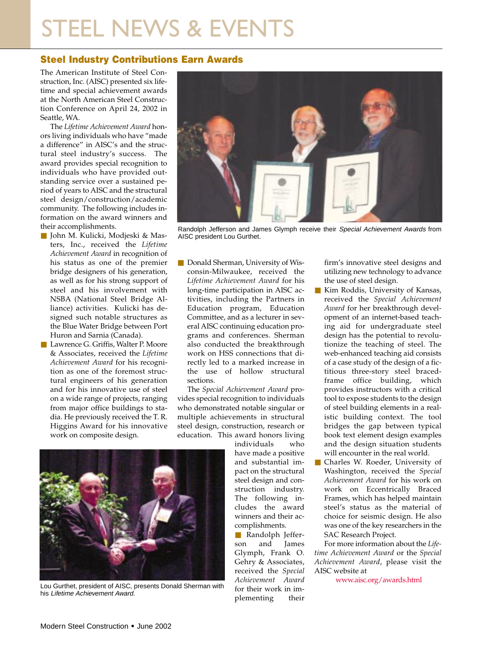# STEEL NEWS & EVENTS

## **Steel Industry Contributions Earn Awards**

The American Institute of Steel Construction, Inc. (AISC) presented six lifetime and special achievement awards at the North American Steel Construction Conference on April 24, 2002 in Seattle, WA.

The *Lifetime Achievement Award* honors living individuals who have "made a difference" in AISC's and the structural steel industry's success. The award provides special recognition to individuals who have provided outstanding service over a sustained period of years to AISC and the structural steel design/construction/academic community. The following includes information on the award winners and their accomplishments.

- John M. Kulicki, Modjeski & Masters, Inc., received the *Lifetime Achievement Award* in recognition of his status as one of the premier bridge designers of his generation, as well as for his strong support of steel and his involvement with NSBA (National Steel Bridge Alliance) activities. Kulicki has designed such notable structures as the Blue Water Bridge between Port Huron and Sarnia (Canada).
- Lawrence G. Griffis, Walter P. Moore & Associates, received the *Lifetime Achievement Award* for his recognition as one of the foremost structural engineers of his generation and for his innovative use of steel on a wide range of projects, ranging from major office buildings to stadia. He previously received the T. R. Higgins Award for his innovative work on composite design.



Randolph Jefferson and James Glymph receive their Special Achievement Awards from AISC president Lou Gurthet.

■ Donald Sherman, University of Wisconsin-Milwaukee, received the *Lifetime Achievement Award* for his long-time participation in AISC activities, including the Partners in Education program, Education Committee, and as a lecturer in several AISC continuing education programs and conferences. Sherman also conducted the breakthrough work on HSS connections that directly led to a marked increase in the use of hollow structural sections.

The *Special Achievement Award* provides special recognition to individuals who demonstrated notable singular or multiple achievements in structural steel design, construction, research or education. This award honors living

individuals who have made a positive and substantial impact on the structural steel design and construction industry. The following includes the award winners and their accomplishments.

■ Randolph Jefferson and James Glymph, Frank O. Gehry & Associates, received the *Special Achievement Award* for their work in implementing their

firm's innovative steel designs and utilizing new technology to advance the use of steel design.

- Kim Roddis, University of Kansas, received the *Special Achievement Award* for her breakthrough development of an internet-based teaching aid for undergraduate steel design has the potential to revolutionize the teaching of steel. The web-enhanced teaching aid consists of a case study of the design of a fictitious three-story steel bracedframe office building, which provides instructors with a critical tool to expose students to the design of steel building elements in a realistic building context. The tool bridges the gap between typical book text element design examples and the design situation students will encounter in the real world.
- Charles W. Roeder, University of Washington, received the *Special Achievement Award* for his work on work on Eccentrically Braced Frames, which has helped maintain steel's status as the material of choice for seismic design. He also was one of the key researchers in the SAC Research Project.

For more information about the *Lifetime Achievement Award* or the *Special Achievement Award*, please visit the AISC website at

www.aisc.org/awards.html



Lou Gurthet, president of AISC, presents Donald Sherman with his Lifetime Achievement Award.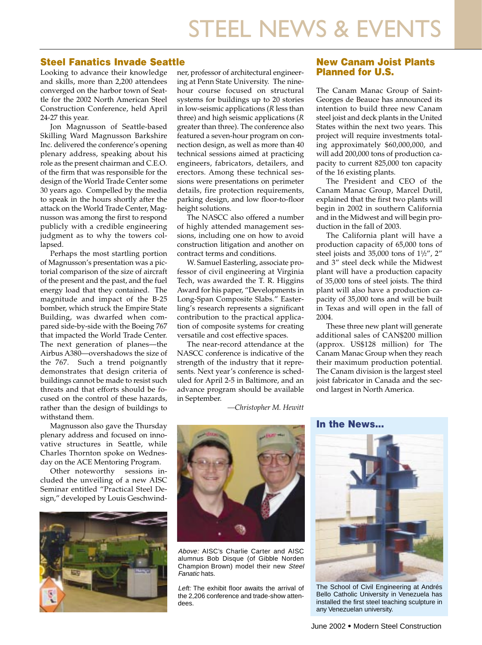## **Steel Fanatics Invade Seattle**

Looking to advance their knowledge and skills, more than 2,200 attendees converged on the harbor town of Seattle for the 2002 North American Steel Construction Conference, held April 24-27 this year.

Jon Magnusson of Seattle-based Skilling Ward Magnusson Barkshire Inc. delivered the conference's opening plenary address, speaking about his role as the present chairman and C.E.O. of the firm that was responsible for the design of the World Trade Center some 30 years ago. Compelled by the media to speak in the hours shortly after the attack on the World Trade Center, Magnusson was among the first to respond publicly with a credible engineering judgment as to why the towers collapsed.

Perhaps the most startling portion of Magnusson's presentation was a pictorial comparison of the size of aircraft of the present and the past, and the fuel energy load that they contained. The magnitude and impact of the B-25 bomber, which struck the Empire State Building, was dwarfed when compared side-by-side with the Boeing 767 that impacted the World Trade Center. The next generation of planes—the Airbus A380—overshadows the size of the 767. Such a trend poignantly demonstrates that design criteria of buildings cannot be made to resist such threats and that efforts should be focused on the control of these hazards, rather than the design of buildings to withstand them.

Magnusson also gave the Thursday plenary address and focused on innovative structures in Seattle, while Charles Thornton spoke on Wednesday on the ACE Mentoring Program.

Other noteworthy sessions included the unveiling of a new AISC Seminar entitled "Practical Steel Design," developed by Louis Geschwind-



ner, professor of architectural engineering at Penn State University. The ninehour course focused on structural systems for buildings up to 20 stories in low-seismic applications (*R* less than three) and high seismic applications (*R* greater than three). The conference also featured a seven-hour program on connection design, as well as more than 40 technical sessions aimed at practicing engineers, fabricators, detailers, and erectors. Among these technical sessions were presentations on perimeter details, fire protection requirements, parking design, and low floor-to-floor height solutions.

The NASCC also offered a number of highly attended management sessions, including one on how to avoid construction litigation and another on contract terms and conditions.

W. Samuel Easterling, associate professor of civil engineering at Virginia Tech, was awarded the T. R. Higgins Award for his paper, "Developments in Long-Span Composite Slabs." Easterling's research represents a significant contribution to the practical application of composite systems for creating versatile and cost effective spaces.

The near-record attendance at the NASCC conference is indicative of the strength of the industry that it represents. Next year's conference is scheduled for April 2-5 in Baltimore, and an advance program should be available in September.

**New Canam Joist Plants Planned for U.S.**

The Canam Manac Group of Saint-Georges de Beauce has announced its intention to build three new Canam steel joist and deck plants in the United States within the next two years. This project will require investments totaling approximately \$60,000,000, and will add 200,000 tons of production capacity to current 825,000 ton capacity of the 16 existing plants.

The President and CEO of the Canam Manac Group, Marcel Dutil, explained that the first two plants will begin in 2002 in southern California and in the Midwest and will begin production in the fall of 2003.

The California plant will have a production capacity of 65,000 tons of steel joists and 35,000 tons of 11 /2", 2" and 3" steel deck while the Midwest plant will have a production capacity of 35,000 tons of steel joists. The third plant will also have a production capacity of 35,000 tons and will be built in Texas and will open in the fall of 2004.

These three new plant will generate additional sales of CAN\$200 million (approx. US\$128 million) for The Canam Manac Group when they reach their maximum production potential. The Canam division is the largest steel joist fabricator in Canada and the second largest in North America.

*—Christopher M. Hewitt*



Above: AISC's Charlie Carter and AISC alumnus Bob Disque (of Gibble Norden Champion Brown) model their new Steel Fanatic hats.

Left: The exhibit floor awaits the arrival of the 2,206 conference and trade-show attendees.

**In the News...**



The School of Civil Engineering at Andrés Bello Catholic University in Venezuela has installed the first steel teaching sculpture in any Venezuelan university.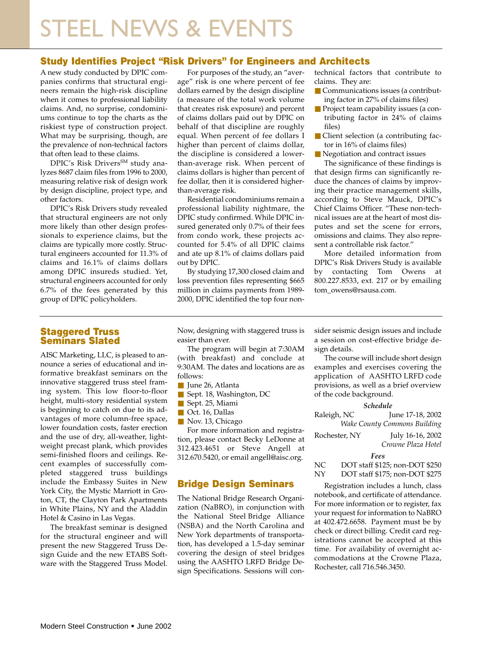## STEEL NEWS & EVENTS

## **Study Identifies Project "Risk Drivers" for Engineers and Architects**

A new study conducted by DPIC companies confirms that structural engineers remain the high-risk discipline when it comes to professional liability claims. And, no surprise, condominiums continue to top the charts as the riskiest type of construction project. What may be surprising, though, are the prevalence of non-technical factors that often lead to these claims.

DPIC's Risk Drivers<sup>SM</sup> study analyzes 8687 claim files from 1996 to 2000, measuring relative risk of design work by design discipline, project type, and other factors.

DPIC's Risk Drivers study revealed that structural engineers are not only more likely than other design professionals to experience claims, but the claims are typically more costly. Structural engineers accounted for 11.3% of claims and 16.1% of claims dollars among DPIC insureds studied. Yet, structural engineers accounted for only 6.7% of the fees generated by this group of DPIC policyholders.

For purposes of the study, an "average" risk is one where percent of fee dollars earned by the design discipline (a measure of the total work volume that creates risk exposure) and percent of claims dollars paid out by DPIC on behalf of that discipline are roughly equal. When percent of fee dollars I higher than percent of claims dollar, the discipline is considered a lowerthan-average risk. When percent of claims dollars is higher than percent of fee dollar, then it is considered higherthan-average risk.

Residential condominiums remain a professional liability nightmare, the DPIC study confirmed. While DPIC insured generated only 0.7% of their fees from condo work, these projects accounted for 5.4% of all DPIC claims and ate up 8.1% of claims dollars paid out by DPIC.

By studying 17,300 closed claim and loss prevention files representing \$665 million in claims payments from 1989- 2000, DPIC identified the top four nontechnical factors that contribute to claims. They are:

- Communications issues (a contributing factor in 27% of claims files)
- Project team capability issues (a contributing factor in 24% of claims files)
- Client selection (a contributing factor in 16% of claims files)
- Negotiation and contract issues

The significance of these findings is that design firms can significantly reduce the chances of claims by improving their practice management skills, according to Steve Mauck, DPIC's Chief Claims Officer. "These non-technical issues are at the heart of most disputes and set the scene for errors, omissions and claims. They also represent a controllable risk factor."

More detailed information from DPIC's Risk Drivers Study is available by contacting Tom Owens at 800.227.8533, ext. 217 or by emailing tom\_owens@rsausa.com.

#### **Staggered Truss Seminars Slated**

AISC Marketing, LLC, is pleased to announce a series of educational and informative breakfast seminars on the innovative staggered truss steel framing system. This low floor-to-floor height, multi-story residential system is beginning to catch on due to its advantages of more column-free space, lower foundation costs, faster erection and the use of dry, all-weather, lightweight precast plank, which provides semi-finished floors and ceilings. Recent examples of successfully completed staggered truss buildings include the Embassy Suites in New York City, the Mystic Marriott in Groton, CT, the Clayton Park Apartments in White Plains, NY and the Aladdin Hotel & Casino in Las Vegas.

The breakfast seminar is designed for the structural engineer and will present the new Staggered Truss Design Guide and the new ETABS Software with the Staggered Truss Model.

Now, designing with staggered truss is easier than ever.

The program will begin at 7:30AM (with breakfast) and conclude at 9:30AM. The dates and locations are as follows:

- June 26, Atlanta
- Sept. 18, Washington, DC
- Sept. 25, Miami
- Oct. 16, Dallas
- Nov. 13, Chicago

For more information and registration, please contact Becky LeDonne at 312.423.4651 or Steve Angell at 312.670.5420, or email angell@aisc.org.

### **Bridge Design Seminars**

The National Bridge Research Organization (NaBRO), in conjunction with the National Steel Bridge Alliance (NSBA) and the North Carolina and New York departments of transportation, has developed a 1.5-day seminar covering the design of steel bridges using the AASHTO LRFD Bridge Design Specifications. Sessions will con-

sider seismic design issues and include a session on cost-effective bridge design details.

The course will include short design examples and exercises covering the application of AASHTO LRFD code provisions, as well as a brief overview of the code background.

#### *Schedule*

| Raleigh, NC   | June 17-18, 2002                    |
|---------------|-------------------------------------|
|               | <b>Wake County Commons Building</b> |
| Rochester, NY | July 16-16, 2002                    |
|               | Crowne Plaza Hotel                  |
|               |                                     |

*Fees*

| NC. | DOT staff \$125; non-DOT \$250 |
|-----|--------------------------------|
| NΥ  | DOT staff \$175; non-DOT \$275 |

Registration includes a lunch, class notebook, and certificate of attendance. For more information or to register, fax your request for information to NaBRO at 402.472.6658. Payment must be by check or direct billing. Credit card registrations cannot be accepted at this time. For availability of overnight accommodations at the Crowne Plaza, Rochester, call 716.546.3450.